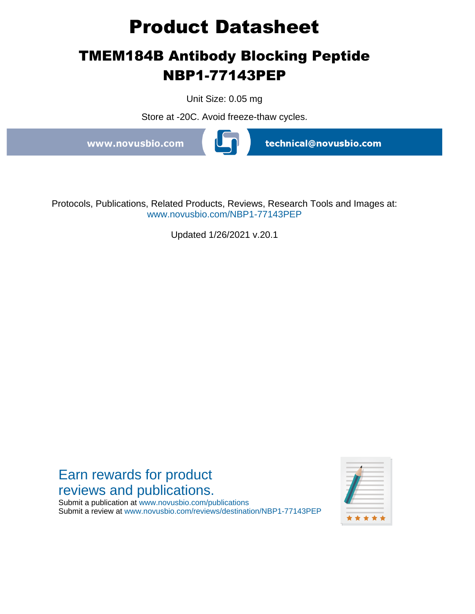# **Product Datasheet**

# **TMEM184B Antibody Blocking Peptide NBP1-77143PEP**

Unit Size: 0.05 mg

Store at -20C. Avoid freeze-thaw cycles.

www.novusbio.com



technical@novusbio.com

Protocols, Publications, Related Products, Reviews, Research Tools and Images at: www.novusbio.com/NBP1-77143PEP

Updated 1/26/2021 v.20.1



Submit a publication at www.novusbio.com/publications Submit a review at www.novusbio.com/reviews/destination/NBP1-77143PEP

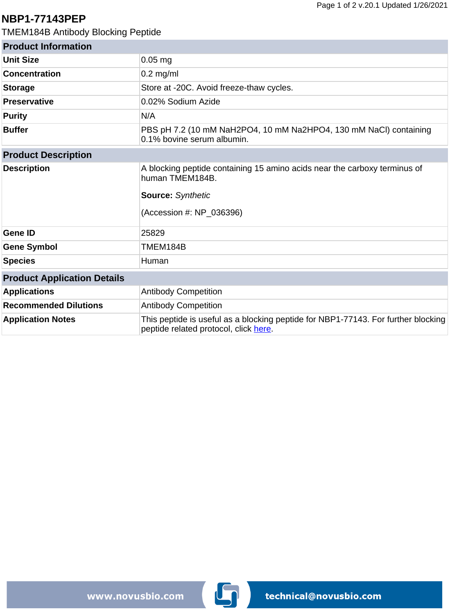## **NBP1-77143PEP**

TMEM184B Antibody Blocking Peptide

| <b>Product Information</b>         |                                                                                                                                                      |
|------------------------------------|------------------------------------------------------------------------------------------------------------------------------------------------------|
| <b>Unit Size</b>                   | $0.05$ mg                                                                                                                                            |
| <b>Concentration</b>               | $0.2$ mg/ml                                                                                                                                          |
| <b>Storage</b>                     | Store at -20C. Avoid freeze-thaw cycles.                                                                                                             |
| <b>Preservative</b>                | 0.02% Sodium Azide                                                                                                                                   |
| <b>Purity</b>                      | N/A                                                                                                                                                  |
| <b>Buffer</b>                      | PBS pH 7.2 (10 mM NaH2PO4, 10 mM Na2HPO4, 130 mM NaCl) containing<br>0.1% bovine serum albumin.                                                      |
| <b>Product Description</b>         |                                                                                                                                                      |
| <b>Description</b>                 | A blocking peptide containing 15 amino acids near the carboxy terminus of<br>human TMEM184B.<br><b>Source: Synthetic</b><br>(Accession #: NP 036396) |
| <b>Gene ID</b>                     | 25829                                                                                                                                                |
| <b>Gene Symbol</b>                 | TMEM184B                                                                                                                                             |
| <b>Species</b>                     | Human                                                                                                                                                |
| <b>Product Application Details</b> |                                                                                                                                                      |
| <b>Applications</b>                | <b>Antibody Competition</b>                                                                                                                          |
| <b>Recommended Dilutions</b>       | <b>Antibody Competition</b>                                                                                                                          |
| <b>Application Notes</b>           | This peptide is useful as a blocking peptide for NBP1-77143. For further blocking<br>peptide related protocol, click here.                           |